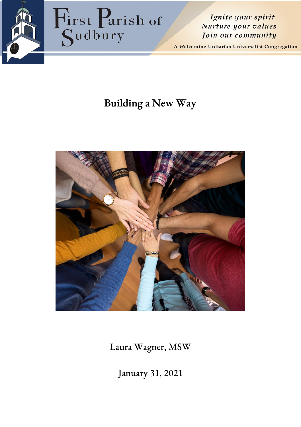

Ignite your spirit Nurture your values Join our community

A Welcoming Unitarian Universalist Congregation

# **Building a New Way**



Laura Wagner, MSW

January 31, 2021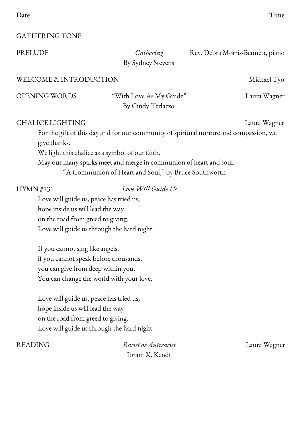### GATHERING TONE

By Sydney Stevens

PRELUDE *Gathering* Rev. Debra Morris-Bennett, piano

OPENING WORDS "With Love As My Guide" Laura Wagner

By Cindy Terlazzo

### CHALICE LIGHTING Laura Wagner

For the gift of this day and for our community of spiritual nurture and compassion, we give thanks.

We light this chalice as a symbol of our faith.

May our many sparks meet and merge in communion of heart and soul.

- "A Communion of Heart and Soul," by Bruce Southworth

### HYMN #131 *Love Will Guide Us*

Love will guide us, peace has tried us, hope inside us will lead the way on the road from greed to giving. Love will guide us through the hard night.

If you cannot sing like angels, if you cannot speak before thousands, you can give from deep within you. You can change the world with your love.

Love will guide us, peace has tried us, hope inside us will lead the way on the road from greed to giving. Love will guide us through the hard night.

READING *Racist or Antiracist* Laura Wagner Ibram X. Kendi

WELCOME & INTRODUCTION Michael Tyo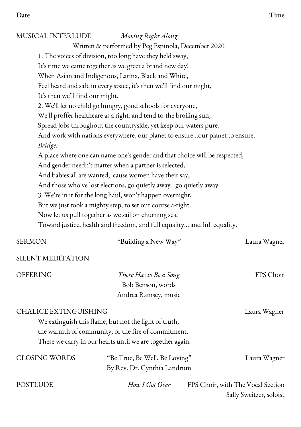### MUSICAL INTERLUDE *Moving Right Along*

Written & performed by Peg Espinola, December 2020

1. The voices of division, too long have they held sway,

It's time we came together as we greet a brand new day!

When Asian and Indigenous, Latinx, Black and White,

Feel heard and safe in every space, it's then we'll find our might,

It's then we'll find our might.

2. We'll let no child go hungry, good schools for everyone,

We'll proffer healthcare as a right, and tend to-the broiling sun,

Spread jobs throughout the countryside, yet keep our waters pure,

And work with nations everywhere, our planet to ensure...our planet to ensure. *Bridge:*

A place where one can name one's gender and that choice will be respected,

And gender needn't matter when a partner is selected,

And babies all are wanted, 'cause women have their say,

And those who've lost elections, go quietly away...go quietly away.

3. We're in it for the long haul, won't happen overnight,

But we just took a mighty step, to set our course a-right.

Now let us pull together as we sail on churning sea,

Toward justice, health and freedom, and full equality… and full equality.

| <b>SERMON</b>                | "Building a New Way"                                                                                                                                                      | Laura Wagner                                                 |
|------------------------------|---------------------------------------------------------------------------------------------------------------------------------------------------------------------------|--------------------------------------------------------------|
| SILENT MEDITATION            |                                                                                                                                                                           |                                                              |
| <b>OFFERING</b>              | There Has to Be a Song<br>Bob Benson, words                                                                                                                               | FPS Choir                                                    |
|                              | Andrea Ramsey, music                                                                                                                                                      |                                                              |
| <b>CHALICE EXTINGUISHING</b> | We extinguish this flame, but not the light of truth,<br>the warmth of community, or the fire of commitment.<br>These we carry in our hearts until we are together again. | Laura Wagner                                                 |
| <b>CLOSING WORDS</b>         | "Be True, Be Well, Be Loving"<br>By Rev. Dr. Cynthia Landrum                                                                                                              | Laura Wagner                                                 |
| <b>POSTLUDE</b>              | How I Got Over                                                                                                                                                            | FPS Choir, with The Vocal Section<br>Sally Sweitzer, soloist |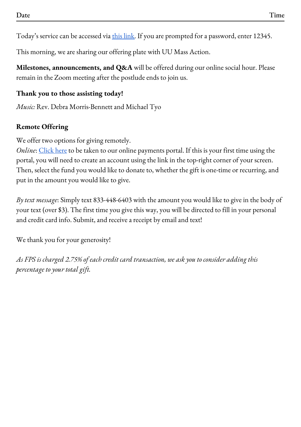Today's service can be accessed via this [link.](https://zoom.us/j/5707250834) If you are prompted for a password, enter 12345.

This morning, we are sharing our offering plate with UU Mass Action.

**Milestones, announcements, and Q&A** will be offered during our online social hour. Please remain in the Zoom meeting after the postlude ends to join us.

## **Thank you to those assisting today!**

*Music:* Rev. Debra Morris-Bennett and Michael Tyo

## **Remote Offering**

We offer two options for giving remotely.

*Online*: [Click](https://gp.vancopayments.com/gpo/#/donateNow/5bb8e8a5-ce0f-4409-894d-d4217da) here to be taken to our online payments portal. If this is your first time using the portal, you will need to create an account using the link in the top-right corner of your screen. Then, select the fund you would like to donate to, whether the gift is one-time or recurring, and put in the amount you would like to give.

*By text message*: Simply text 833-448-6403 with the amount you would like to give in the body of your text (over \$3). The first time you give this way, you will be directed to fill in your personal and credit card info. Submit, and receive a receipt by email and text!

We thank you for your generosity!

*As FPS is charged 2.75% of each credit card transaction, we ask you to consider adding this percentage to your total gift.*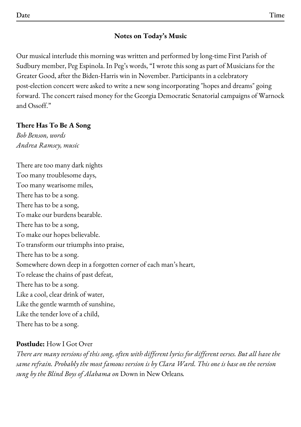## **Notes on Today's Music**

Our musical interlude this morning was written and performed by long-time First Parish of Sudbury member, Peg Espinola. In Peg's words, "I wrote this song as part of Musicians for the Greater Good, after the Biden-Harris win in November. Participants in a celebratory post-election concert were asked to write a new song incorporating "hopes and dreams" going forward. The concert raised money for the Georgia Democratic Senatorial campaigns of Warnock and Ossoff."

## **There Has To Be A Song**

*Bob Benson, words Andrea Ramsey, music*

There are too many dark nights Too many troublesome days, Too many wearisome miles, There has to be a song. There has to be a song, To make our burdens bearable. There has to be a song, To make our hopes believable. To transform our triumphs into praise, There has to be a song. Somewhere down deep in a forgotten corner of each man's heart, To release the chains of past defeat, There has to be a song. Like a cool, clear drink of water, Like the gentle warmth of sunshine, Like the tender love of a child, There has to be a song.

## **Postlude:** How I Got Over

There are many versions of this song, often with different lyrics for different verses. But all have the *same refrain. Probably the most famous version is by Clara Ward. This one is base on the version sung by the Blind Boys of Alabama on* Down in New Orleans*.*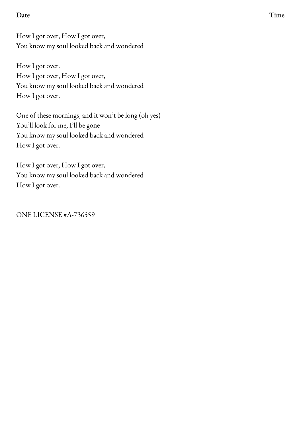How I got over, How I got over, You know my soul looked back and wondered

How I got over. How I got over, How I got over, You know my soul looked back and wondered How I got over.

One of these mornings, and it won't be long (oh yes) You'll look for me, I'll be gone You know my soul looked back and wondered How I got over.

How I got over, How I got over, You know my soul looked back and wondered How I got over.

ONE LICENSE #A-736559